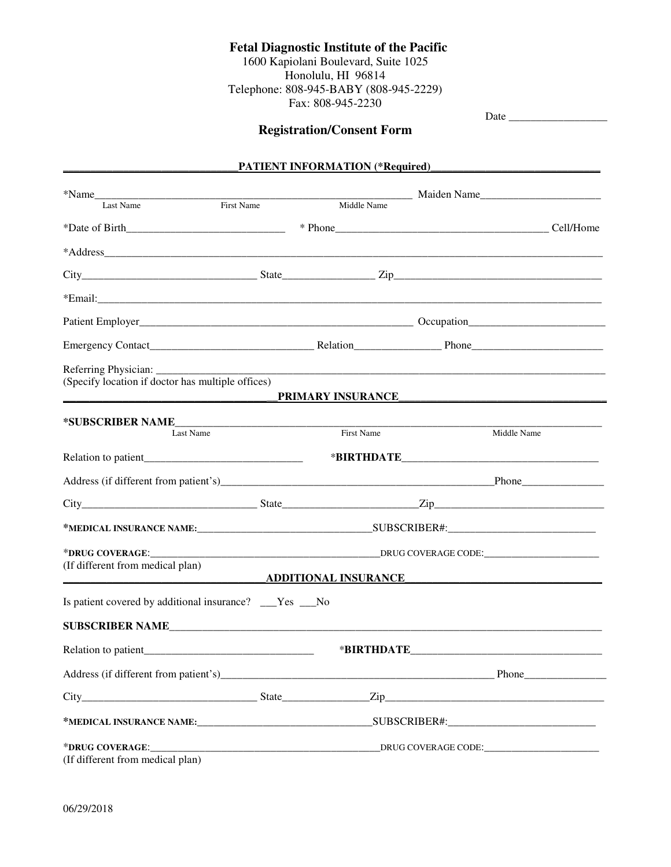## **Fetal Diagnostic Institute of the Pacific**

1600 Kapiolani Boulevard, Suite 1025 Honolulu, HI 96814 Telephone: 808-945-BABY (808-945-2229) Fax: 808-945-2230

|                                                                                                                     |                     | <b>Registration/Consent Form</b> |  |             |  |  |  |
|---------------------------------------------------------------------------------------------------------------------|---------------------|----------------------------------|--|-------------|--|--|--|
|                                                                                                                     |                     | PATIENT INFORMATION (*Required)  |  |             |  |  |  |
|                                                                                                                     |                     | Middle Name                      |  |             |  |  |  |
| Last Name                                                                                                           | First Name          |                                  |  |             |  |  |  |
|                                                                                                                     |                     |                                  |  |             |  |  |  |
|                                                                                                                     |                     |                                  |  |             |  |  |  |
|                                                                                                                     |                     |                                  |  |             |  |  |  |
|                                                                                                                     |                     |                                  |  |             |  |  |  |
|                                                                                                                     |                     |                                  |  |             |  |  |  |
|                                                                                                                     |                     |                                  |  |             |  |  |  |
| Referring Physician: ___________<br>(Specify location if doctor has multiple offices)                               |                     |                                  |  |             |  |  |  |
| <u> 1989 - Jan Berlin, mars ann an t-San Aonaich ann an t-San Aonaich ann an t-San Aonaich ann an t-San Aonaich</u> |                     | PRIMARY INSURANCE                |  |             |  |  |  |
| *SUBSCRIBER NAME<br>Last Name                                                                                       |                     | <b>First Name</b>                |  | Middle Name |  |  |  |
|                                                                                                                     |                     |                                  |  |             |  |  |  |
|                                                                                                                     |                     |                                  |  |             |  |  |  |
|                                                                                                                     |                     |                                  |  |             |  |  |  |
|                                                                                                                     |                     |                                  |  |             |  |  |  |
| *DRUG COVERAGE:________                                                                                             |                     |                                  |  |             |  |  |  |
| (If different from medical plan)                                                                                    |                     |                                  |  |             |  |  |  |
|                                                                                                                     |                     | _ADDITIONAL INSURANCE_           |  |             |  |  |  |
| Is patient covered by additional insurance? __Yes __No                                                              |                     |                                  |  |             |  |  |  |
|                                                                                                                     |                     |                                  |  |             |  |  |  |
|                                                                                                                     |                     |                                  |  |             |  |  |  |
|                                                                                                                     |                     |                                  |  |             |  |  |  |
|                                                                                                                     |                     |                                  |  |             |  |  |  |
|                                                                                                                     |                     |                                  |  |             |  |  |  |
| *DRUG COVERAGE:                                                                                                     | DRUG COVERAGE CODE: |                                  |  |             |  |  |  |

(If different from medical plan)